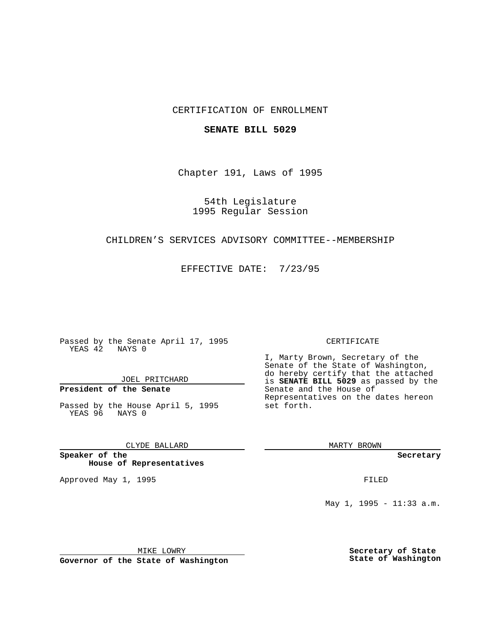## CERTIFICATION OF ENROLLMENT

### **SENATE BILL 5029**

Chapter 191, Laws of 1995

54th Legislature 1995 Regular Session

## CHILDREN'S SERVICES ADVISORY COMMITTEE--MEMBERSHIP

EFFECTIVE DATE: 7/23/95

Passed by the Senate April 17, 1995 YEAS 42 NAYS 0

JOEL PRITCHARD

# **President of the Senate**

Passed by the House April 5, 1995 YEAS 96 NAYS 0

CLYDE BALLARD

**Speaker of the House of Representatives**

Approved May 1, 1995 **FILED** 

#### CERTIFICATE

I, Marty Brown, Secretary of the Senate of the State of Washington, do hereby certify that the attached is **SENATE BILL 5029** as passed by the Senate and the House of Representatives on the dates hereon set forth.

MARTY BROWN

**Secretary**

May 1, 1995 - 11:33 a.m.

MIKE LOWRY

**Governor of the State of Washington**

**Secretary of State State of Washington**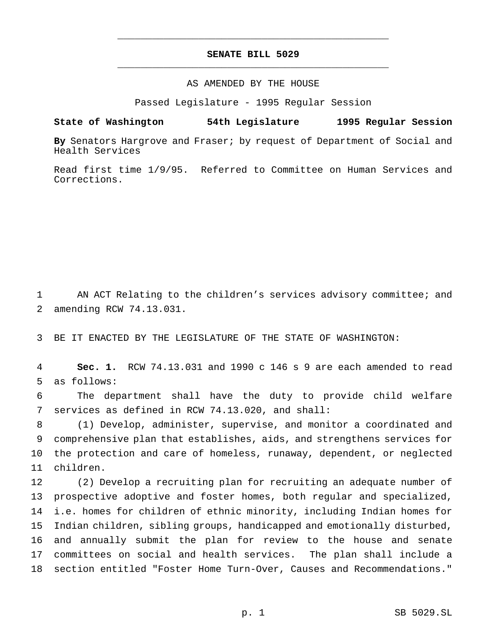# **SENATE BILL 5029** \_\_\_\_\_\_\_\_\_\_\_\_\_\_\_\_\_\_\_\_\_\_\_\_\_\_\_\_\_\_\_\_\_\_\_\_\_\_\_\_\_\_\_\_\_\_\_

\_\_\_\_\_\_\_\_\_\_\_\_\_\_\_\_\_\_\_\_\_\_\_\_\_\_\_\_\_\_\_\_\_\_\_\_\_\_\_\_\_\_\_\_\_\_\_

### AS AMENDED BY THE HOUSE

Passed Legislature - 1995 Regular Session

### **State of Washington 54th Legislature 1995 Regular Session**

**By** Senators Hargrove and Fraser; by request of Department of Social and Health Services

Read first time 1/9/95. Referred to Committee on Human Services and Corrections.

 AN ACT Relating to the children's services advisory committee; and amending RCW 74.13.031.

BE IT ENACTED BY THE LEGISLATURE OF THE STATE OF WASHINGTON:

 **Sec. 1.** RCW 74.13.031 and 1990 c 146 s 9 are each amended to read as follows:

 The department shall have the duty to provide child welfare services as defined in RCW 74.13.020, and shall:

 (1) Develop, administer, supervise, and monitor a coordinated and comprehensive plan that establishes, aids, and strengthens services for the protection and care of homeless, runaway, dependent, or neglected children.

 (2) Develop a recruiting plan for recruiting an adequate number of prospective adoptive and foster homes, both regular and specialized, i.e. homes for children of ethnic minority, including Indian homes for Indian children, sibling groups, handicapped and emotionally disturbed, and annually submit the plan for review to the house and senate committees on social and health services. The plan shall include a section entitled "Foster Home Turn-Over, Causes and Recommendations."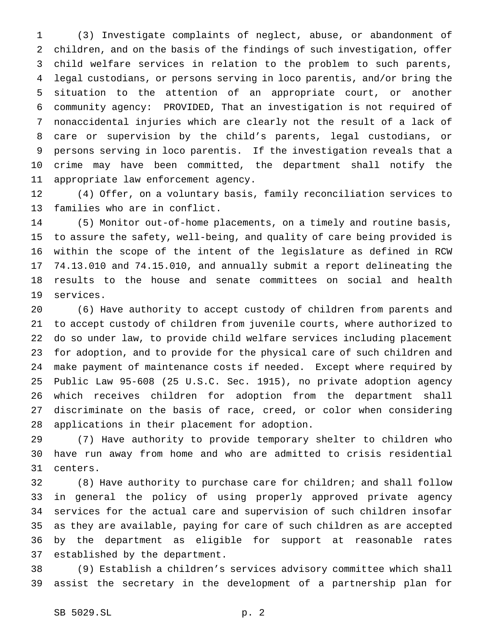(3) Investigate complaints of neglect, abuse, or abandonment of children, and on the basis of the findings of such investigation, offer child welfare services in relation to the problem to such parents, legal custodians, or persons serving in loco parentis, and/or bring the situation to the attention of an appropriate court, or another community agency: PROVIDED, That an investigation is not required of nonaccidental injuries which are clearly not the result of a lack of care or supervision by the child's parents, legal custodians, or persons serving in loco parentis. If the investigation reveals that a crime may have been committed, the department shall notify the appropriate law enforcement agency.

 (4) Offer, on a voluntary basis, family reconciliation services to families who are in conflict.

 (5) Monitor out-of-home placements, on a timely and routine basis, to assure the safety, well-being, and quality of care being provided is within the scope of the intent of the legislature as defined in RCW 74.13.010 and 74.15.010, and annually submit a report delineating the results to the house and senate committees on social and health services.

 (6) Have authority to accept custody of children from parents and to accept custody of children from juvenile courts, where authorized to do so under law, to provide child welfare services including placement for adoption, and to provide for the physical care of such children and make payment of maintenance costs if needed. Except where required by Public Law 95-608 (25 U.S.C. Sec. 1915), no private adoption agency which receives children for adoption from the department shall discriminate on the basis of race, creed, or color when considering applications in their placement for adoption.

 (7) Have authority to provide temporary shelter to children who have run away from home and who are admitted to crisis residential centers.

 (8) Have authority to purchase care for children; and shall follow in general the policy of using properly approved private agency services for the actual care and supervision of such children insofar as they are available, paying for care of such children as are accepted by the department as eligible for support at reasonable rates established by the department.

 (9) Establish a children's services advisory committee which shall assist the secretary in the development of a partnership plan for